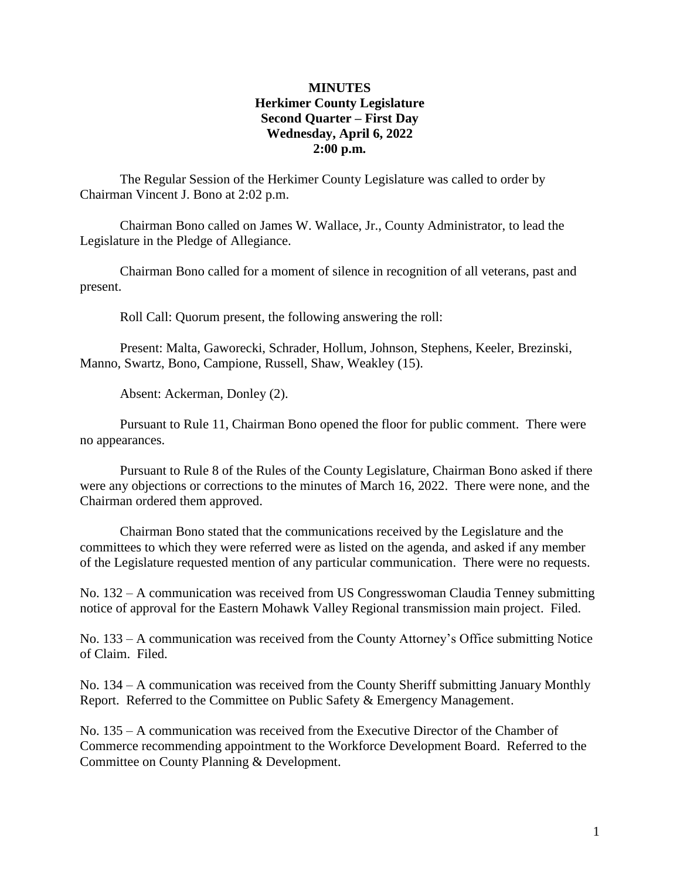#### **MINUTES Herkimer County Legislature Second Quarter – First Day Wednesday, April 6, 2022 2:00 p.m.**

The Regular Session of the Herkimer County Legislature was called to order by Chairman Vincent J. Bono at 2:02 p.m.

Chairman Bono called on James W. Wallace, Jr., County Administrator, to lead the Legislature in the Pledge of Allegiance.

Chairman Bono called for a moment of silence in recognition of all veterans, past and present.

Roll Call: Quorum present, the following answering the roll:

Present: Malta, Gaworecki, Schrader, Hollum, Johnson, Stephens, Keeler, Brezinski, Manno, Swartz, Bono, Campione, Russell, Shaw, Weakley (15).

Absent: Ackerman, Donley (2).

Pursuant to Rule 11, Chairman Bono opened the floor for public comment. There were no appearances.

Pursuant to Rule 8 of the Rules of the County Legislature, Chairman Bono asked if there were any objections or corrections to the minutes of March 16, 2022. There were none, and the Chairman ordered them approved.

Chairman Bono stated that the communications received by the Legislature and the committees to which they were referred were as listed on the agenda, and asked if any member of the Legislature requested mention of any particular communication. There were no requests.

No. 132 – A communication was received from US Congresswoman Claudia Tenney submitting notice of approval for the Eastern Mohawk Valley Regional transmission main project. Filed.

No. 133 – A communication was received from the County Attorney's Office submitting Notice of Claim. Filed.

No. 134 – A communication was received from the County Sheriff submitting January Monthly Report. Referred to the Committee on Public Safety & Emergency Management.

No. 135 – A communication was received from the Executive Director of the Chamber of Commerce recommending appointment to the Workforce Development Board. Referred to the Committee on County Planning & Development.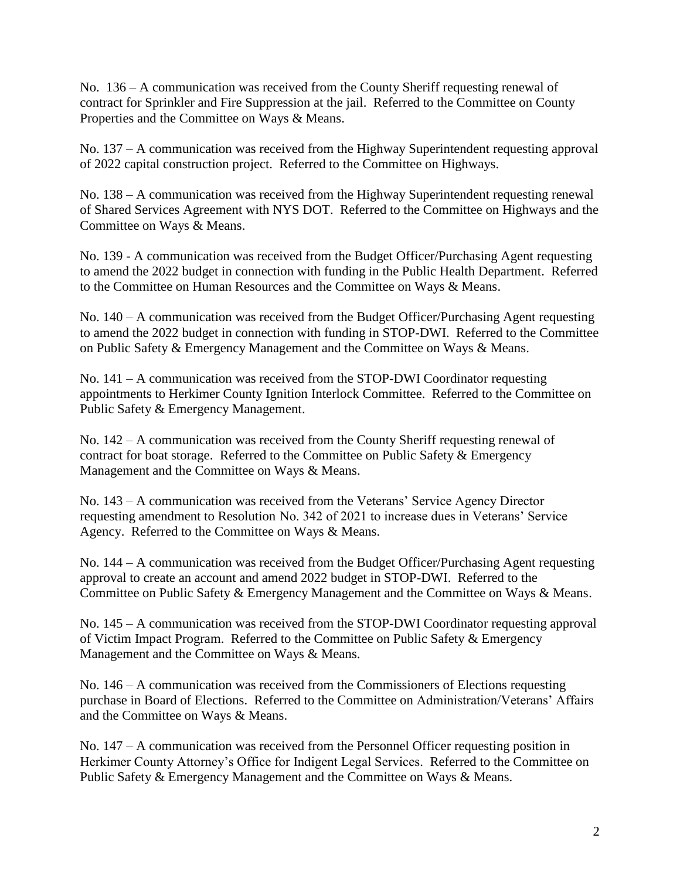No. 136 – A communication was received from the County Sheriff requesting renewal of contract for Sprinkler and Fire Suppression at the jail. Referred to the Committee on County Properties and the Committee on Ways & Means.

No. 137 – A communication was received from the Highway Superintendent requesting approval of 2022 capital construction project. Referred to the Committee on Highways.

No. 138 – A communication was received from the Highway Superintendent requesting renewal of Shared Services Agreement with NYS DOT. Referred to the Committee on Highways and the Committee on Ways & Means.

No. 139 - A communication was received from the Budget Officer/Purchasing Agent requesting to amend the 2022 budget in connection with funding in the Public Health Department. Referred to the Committee on Human Resources and the Committee on Ways & Means.

No. 140 – A communication was received from the Budget Officer/Purchasing Agent requesting to amend the 2022 budget in connection with funding in STOP-DWI. Referred to the Committee on Public Safety & Emergency Management and the Committee on Ways & Means.

No. 141 – A communication was received from the STOP-DWI Coordinator requesting appointments to Herkimer County Ignition Interlock Committee. Referred to the Committee on Public Safety & Emergency Management.

No. 142 – A communication was received from the County Sheriff requesting renewal of contract for boat storage. Referred to the Committee on Public Safety & Emergency Management and the Committee on Ways & Means.

No. 143 – A communication was received from the Veterans' Service Agency Director requesting amendment to Resolution No. 342 of 2021 to increase dues in Veterans' Service Agency. Referred to the Committee on Ways & Means.

No. 144 – A communication was received from the Budget Officer/Purchasing Agent requesting approval to create an account and amend 2022 budget in STOP-DWI. Referred to the Committee on Public Safety & Emergency Management and the Committee on Ways & Means.

No. 145 – A communication was received from the STOP-DWI Coordinator requesting approval of Victim Impact Program. Referred to the Committee on Public Safety & Emergency Management and the Committee on Ways & Means.

No. 146 – A communication was received from the Commissioners of Elections requesting purchase in Board of Elections. Referred to the Committee on Administration/Veterans' Affairs and the Committee on Ways & Means.

No. 147 – A communication was received from the Personnel Officer requesting position in Herkimer County Attorney's Office for Indigent Legal Services. Referred to the Committee on Public Safety & Emergency Management and the Committee on Ways & Means.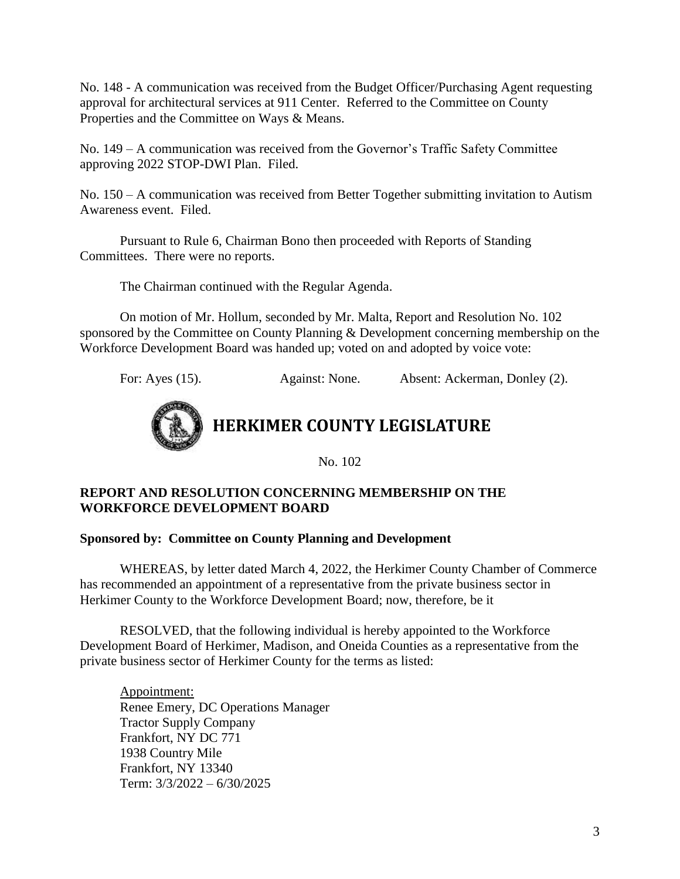No. 148 - A communication was received from the Budget Officer/Purchasing Agent requesting approval for architectural services at 911 Center. Referred to the Committee on County Properties and the Committee on Ways & Means.

No. 149 – A communication was received from the Governor's Traffic Safety Committee approving 2022 STOP-DWI Plan. Filed.

No. 150 – A communication was received from Better Together submitting invitation to Autism Awareness event. Filed.

Pursuant to Rule 6, Chairman Bono then proceeded with Reports of Standing Committees. There were no reports.

The Chairman continued with the Regular Agenda.

On motion of Mr. Hollum, seconded by Mr. Malta, Report and Resolution No. 102 sponsored by the Committee on County Planning & Development concerning membership on the Workforce Development Board was handed up; voted on and adopted by voice vote:

For: Ayes (15). Against: None. Absent: Ackerman, Donley (2).



**HERKIMER COUNTY LEGISLATURE**

No. 102

#### **REPORT AND RESOLUTION CONCERNING MEMBERSHIP ON THE WORKFORCE DEVELOPMENT BOARD**

#### **Sponsored by: Committee on County Planning and Development**

WHEREAS, by letter dated March 4, 2022, the Herkimer County Chamber of Commerce has recommended an appointment of a representative from the private business sector in Herkimer County to the Workforce Development Board; now, therefore, be it

RESOLVED, that the following individual is hereby appointed to the Workforce Development Board of Herkimer, Madison, and Oneida Counties as a representative from the private business sector of Herkimer County for the terms as listed:

Appointment: Renee Emery, DC Operations Manager Tractor Supply Company Frankfort, NY DC 771 1938 Country Mile Frankfort, NY 13340 Term: 3/3/2022 – 6/30/2025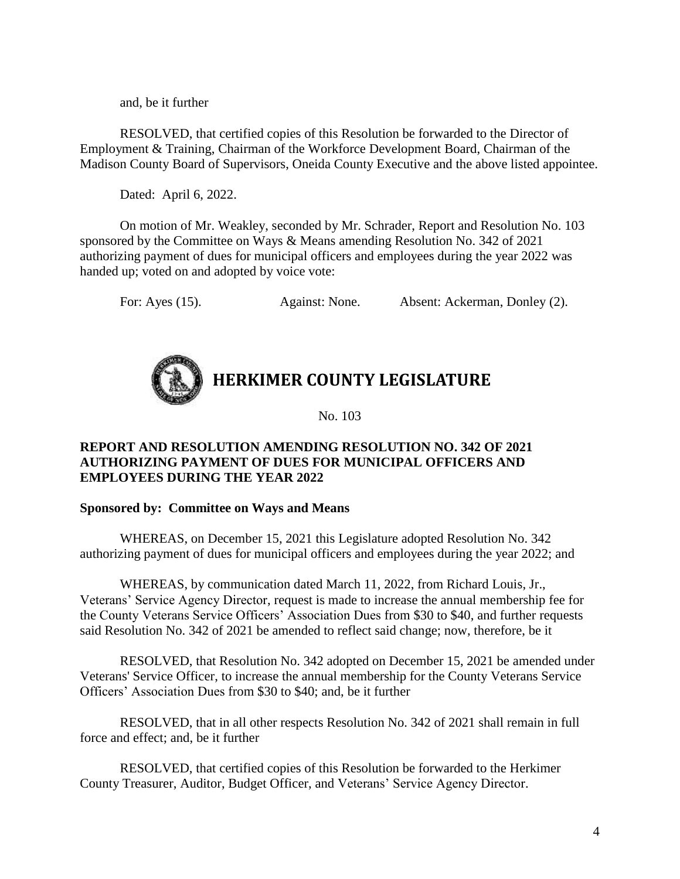and, be it further

RESOLVED, that certified copies of this Resolution be forwarded to the Director of Employment & Training, Chairman of the Workforce Development Board, Chairman of the Madison County Board of Supervisors, Oneida County Executive and the above listed appointee.

Dated: April 6, 2022.

On motion of Mr. Weakley, seconded by Mr. Schrader, Report and Resolution No. 103 sponsored by the Committee on Ways & Means amending Resolution No. 342 of 2021 authorizing payment of dues for municipal officers and employees during the year 2022 was handed up; voted on and adopted by voice vote:

For: Ayes (15). Against: None. Absent: Ackerman, Donley (2).

# **HERKIMER COUNTY LEGISLATURE**

No. 103

#### **REPORT AND RESOLUTION AMENDING RESOLUTION NO. 342 OF 2021 AUTHORIZING PAYMENT OF DUES FOR MUNICIPAL OFFICERS AND EMPLOYEES DURING THE YEAR 2022**

#### **Sponsored by: Committee on Ways and Means**

WHEREAS, on December 15, 2021 this Legislature adopted Resolution No. 342 authorizing payment of dues for municipal officers and employees during the year 2022; and

WHEREAS, by communication dated March 11, 2022, from Richard Louis, Jr., Veterans' Service Agency Director, request is made to increase the annual membership fee for the County Veterans Service Officers' Association Dues from \$30 to \$40, and further requests said Resolution No. 342 of 2021 be amended to reflect said change; now, therefore, be it

RESOLVED, that Resolution No. 342 adopted on December 15, 2021 be amended under Veterans' Service Officer, to increase the annual membership for the County Veterans Service Officers' Association Dues from \$30 to \$40; and, be it further

RESOLVED, that in all other respects Resolution No. 342 of 2021 shall remain in full force and effect; and, be it further

RESOLVED, that certified copies of this Resolution be forwarded to the Herkimer County Treasurer, Auditor, Budget Officer, and Veterans' Service Agency Director.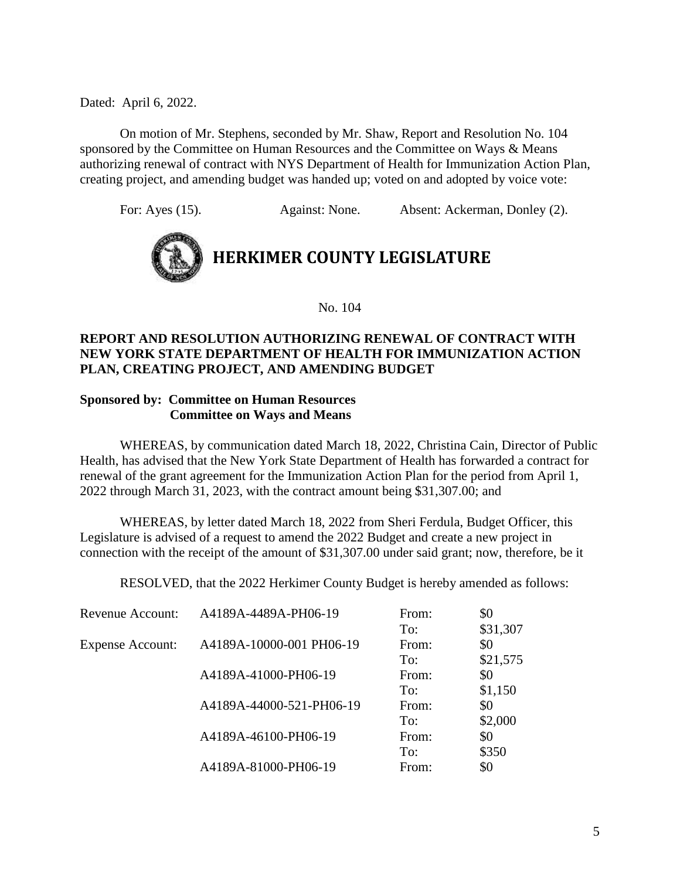On motion of Mr. Stephens, seconded by Mr. Shaw, Report and Resolution No. 104 sponsored by the Committee on Human Resources and the Committee on Ways & Means authorizing renewal of contract with NYS Department of Health for Immunization Action Plan, creating project, and amending budget was handed up; voted on and adopted by voice vote:

For: Ayes (15). Against: None. Absent: Ackerman, Donley (2).



No. 104

#### **REPORT AND RESOLUTION AUTHORIZING RENEWAL OF CONTRACT WITH NEW YORK STATE DEPARTMENT OF HEALTH FOR IMMUNIZATION ACTION PLAN, CREATING PROJECT, AND AMENDING BUDGET**

#### **Sponsored by: Committee on Human Resources Committee on Ways and Means**

WHEREAS, by communication dated March 18, 2022, Christina Cain, Director of Public Health, has advised that the New York State Department of Health has forwarded a contract for renewal of the grant agreement for the Immunization Action Plan for the period from April 1, 2022 through March 31, 2023, with the contract amount being \$31,307.00; and

WHEREAS, by letter dated March 18, 2022 from Sheri Ferdula, Budget Officer, this Legislature is advised of a request to amend the 2022 Budget and create a new project in connection with the receipt of the amount of \$31,307.00 under said grant; now, therefore, be it

RESOLVED, that the 2022 Herkimer County Budget is hereby amended as follows:

| <b>Revenue Account:</b> | A4189A-4489A-PH06-19     | From: | \$0      |
|-------------------------|--------------------------|-------|----------|
|                         |                          | To:   | \$31,307 |
| <b>Expense Account:</b> | A4189A-10000-001 PH06-19 | From: | \$0      |
|                         |                          | To:   | \$21,575 |
|                         | A4189A-41000-PH06-19     | From: | \$0      |
|                         |                          | To:   | \$1,150  |
|                         | A4189A-44000-521-PH06-19 | From: | \$0      |
|                         |                          | To:   | \$2,000  |
|                         | A4189A-46100-PH06-19     | From: | \$0      |
|                         |                          | To:   | \$350    |
|                         | A4189A-81000-PH06-19     | From: | \$0      |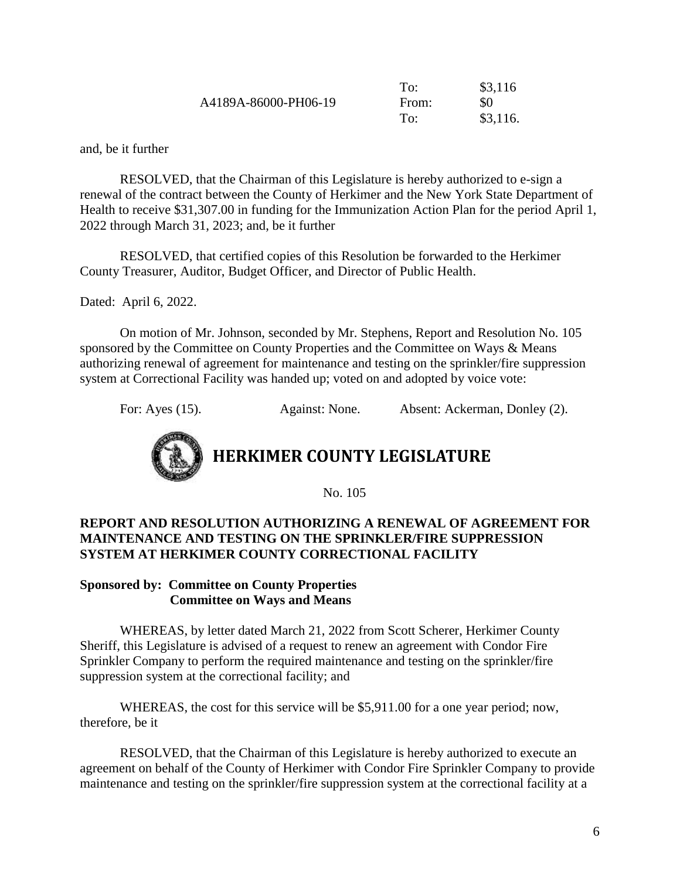|                      | To:   | \$3,116  |
|----------------------|-------|----------|
| A4189A-86000-PH06-19 | From: | \$0      |
|                      | To:   | \$3,116. |

and, be it further

RESOLVED, that the Chairman of this Legislature is hereby authorized to e-sign a renewal of the contract between the County of Herkimer and the New York State Department of Health to receive \$31,307.00 in funding for the Immunization Action Plan for the period April 1, 2022 through March 31, 2023; and, be it further

RESOLVED, that certified copies of this Resolution be forwarded to the Herkimer County Treasurer, Auditor, Budget Officer, and Director of Public Health.

Dated: April 6, 2022.

On motion of Mr. Johnson, seconded by Mr. Stephens, Report and Resolution No. 105 sponsored by the Committee on County Properties and the Committee on Ways & Means authorizing renewal of agreement for maintenance and testing on the sprinkler/fire suppression system at Correctional Facility was handed up; voted on and adopted by voice vote:

For: Ayes (15). Against: None. Absent: Ackerman, Donley (2).



**HERKIMER COUNTY LEGISLATURE**

No. 105

#### **REPORT AND RESOLUTION AUTHORIZING A RENEWAL OF AGREEMENT FOR MAINTENANCE AND TESTING ON THE SPRINKLER/FIRE SUPPRESSION SYSTEM AT HERKIMER COUNTY CORRECTIONAL FACILITY**

#### **Sponsored by: Committee on County Properties Committee on Ways and Means**

WHEREAS, by letter dated March 21, 2022 from Scott Scherer, Herkimer County Sheriff, this Legislature is advised of a request to renew an agreement with Condor Fire Sprinkler Company to perform the required maintenance and testing on the sprinkler/fire suppression system at the correctional facility; and

WHEREAS, the cost for this service will be \$5,911.00 for a one year period; now, therefore, be it

RESOLVED, that the Chairman of this Legislature is hereby authorized to execute an agreement on behalf of the County of Herkimer with Condor Fire Sprinkler Company to provide maintenance and testing on the sprinkler/fire suppression system at the correctional facility at a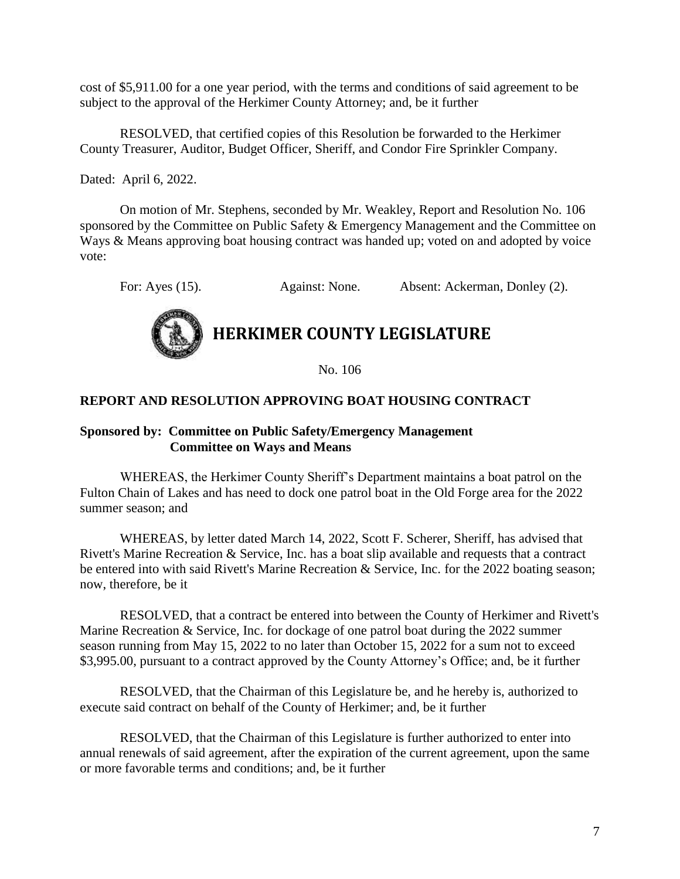cost of \$5,911.00 for a one year period, with the terms and conditions of said agreement to be subject to the approval of the Herkimer County Attorney; and, be it further

RESOLVED, that certified copies of this Resolution be forwarded to the Herkimer County Treasurer, Auditor, Budget Officer, Sheriff, and Condor Fire Sprinkler Company.

Dated: April 6, 2022.

On motion of Mr. Stephens, seconded by Mr. Weakley, Report and Resolution No. 106 sponsored by the Committee on Public Safety & Emergency Management and the Committee on Ways & Means approving boat housing contract was handed up; voted on and adopted by voice vote:

For: Ayes (15). Against: None. Absent: Ackerman, Donley (2).



### **HERKIMER COUNTY LEGISLATURE**

No. 106

#### **REPORT AND RESOLUTION APPROVING BOAT HOUSING CONTRACT**

#### **Sponsored by: Committee on Public Safety/Emergency Management Committee on Ways and Means**

WHEREAS, the Herkimer County Sheriff's Department maintains a boat patrol on the Fulton Chain of Lakes and has need to dock one patrol boat in the Old Forge area for the 2022 summer season; and

WHEREAS, by letter dated March 14, 2022, Scott F. Scherer, Sheriff, has advised that Rivett's Marine Recreation & Service, Inc. has a boat slip available and requests that a contract be entered into with said Rivett's Marine Recreation & Service, Inc. for the 2022 boating season; now, therefore, be it

RESOLVED, that a contract be entered into between the County of Herkimer and Rivett's Marine Recreation & Service, Inc. for dockage of one patrol boat during the 2022 summer season running from May 15, 2022 to no later than October 15, 2022 for a sum not to exceed \$3,995.00, pursuant to a contract approved by the County Attorney's Office; and, be it further

RESOLVED, that the Chairman of this Legislature be, and he hereby is, authorized to execute said contract on behalf of the County of Herkimer; and, be it further

RESOLVED, that the Chairman of this Legislature is further authorized to enter into annual renewals of said agreement, after the expiration of the current agreement, upon the same or more favorable terms and conditions; and, be it further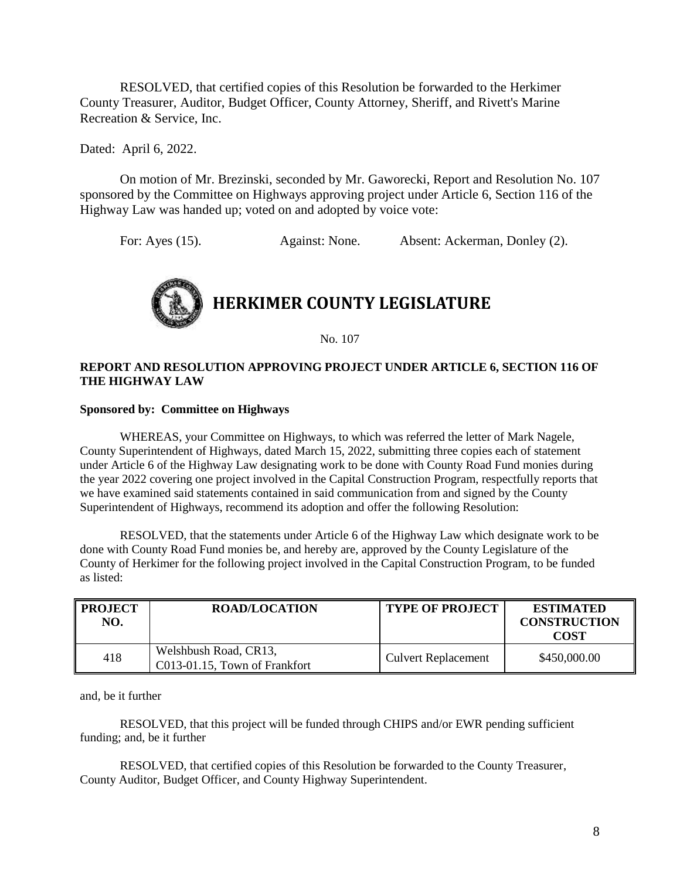RESOLVED, that certified copies of this Resolution be forwarded to the Herkimer County Treasurer, Auditor, Budget Officer, County Attorney, Sheriff, and Rivett's Marine Recreation & Service, Inc.

Dated: April 6, 2022.

On motion of Mr. Brezinski, seconded by Mr. Gaworecki, Report and Resolution No. 107 sponsored by the Committee on Highways approving project under Article 6, Section 116 of the Highway Law was handed up; voted on and adopted by voice vote:

For: Ayes (15). Against: None. Absent: Ackerman, Donley (2).



No. 107

#### **REPORT AND RESOLUTION APPROVING PROJECT UNDER ARTICLE 6, SECTION 116 OF THE HIGHWAY LAW**

#### **Sponsored by: Committee on Highways**

WHEREAS, your Committee on Highways, to which was referred the letter of Mark Nagele, County Superintendent of Highways, dated March 15, 2022, submitting three copies each of statement under Article 6 of the Highway Law designating work to be done with County Road Fund monies during the year 2022 covering one project involved in the Capital Construction Program, respectfully reports that we have examined said statements contained in said communication from and signed by the County Superintendent of Highways, recommend its adoption and offer the following Resolution:

RESOLVED, that the statements under Article 6 of the Highway Law which designate work to be done with County Road Fund monies be, and hereby are, approved by the County Legislature of the County of Herkimer for the following project involved in the Capital Construction Program, to be funded as listed:

| <b>PROJECT</b><br>NO. | <b>ROAD/LOCATION</b>                                   | <b>TYPE OF PROJECT</b>     | <b>ESTIMATED</b><br><b>CONSTRUCTION</b><br><b>COST</b> |
|-----------------------|--------------------------------------------------------|----------------------------|--------------------------------------------------------|
| 418                   | Welshbush Road, CR13,<br>C013-01.15, Town of Frankfort | <b>Culvert Replacement</b> | \$450,000.00                                           |

and, be it further

RESOLVED, that this project will be funded through CHIPS and/or EWR pending sufficient funding; and, be it further

RESOLVED, that certified copies of this Resolution be forwarded to the County Treasurer, County Auditor, Budget Officer, and County Highway Superintendent.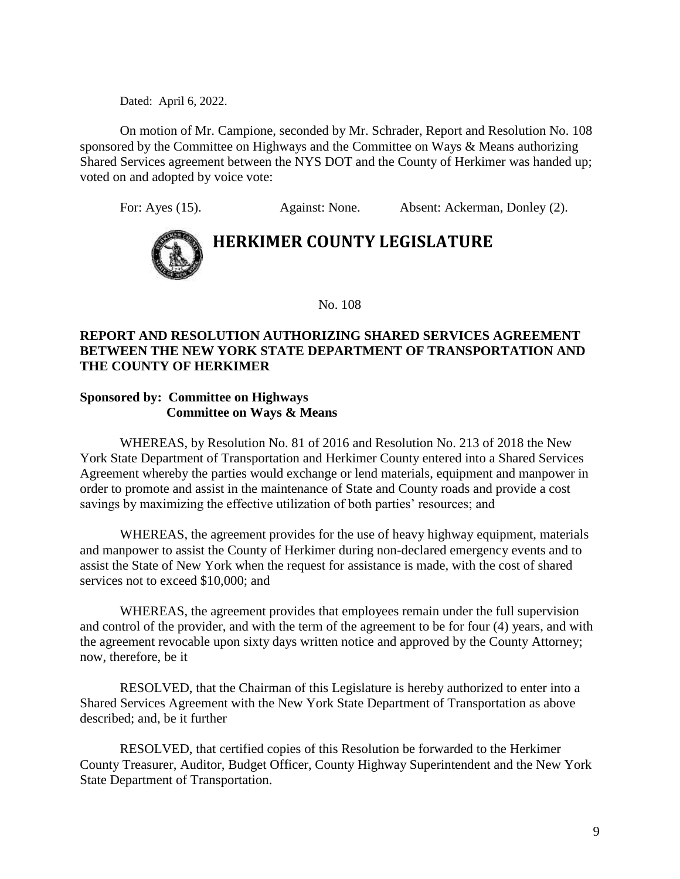On motion of Mr. Campione, seconded by Mr. Schrader, Report and Resolution No. 108 sponsored by the Committee on Highways and the Committee on Ways & Means authorizing Shared Services agreement between the NYS DOT and the County of Herkimer was handed up; voted on and adopted by voice vote:

For: Ayes (15). Against: None. Absent: Ackerman, Donley (2).



## **HERKIMER COUNTY LEGISLATURE**

No. 108

#### **REPORT AND RESOLUTION AUTHORIZING SHARED SERVICES AGREEMENT BETWEEN THE NEW YORK STATE DEPARTMENT OF TRANSPORTATION AND THE COUNTY OF HERKIMER**

#### **Sponsored by: Committee on Highways Committee on Ways & Means**

WHEREAS, by Resolution No. 81 of 2016 and Resolution No. 213 of 2018 the New York State Department of Transportation and Herkimer County entered into a Shared Services Agreement whereby the parties would exchange or lend materials, equipment and manpower in order to promote and assist in the maintenance of State and County roads and provide a cost savings by maximizing the effective utilization of both parties' resources; and

WHEREAS, the agreement provides for the use of heavy highway equipment, materials and manpower to assist the County of Herkimer during non-declared emergency events and to assist the State of New York when the request for assistance is made, with the cost of shared services not to exceed \$10,000; and

WHEREAS, the agreement provides that employees remain under the full supervision and control of the provider, and with the term of the agreement to be for four (4) years, and with the agreement revocable upon sixty days written notice and approved by the County Attorney; now, therefore, be it

RESOLVED, that the Chairman of this Legislature is hereby authorized to enter into a Shared Services Agreement with the New York State Department of Transportation as above described; and, be it further

RESOLVED, that certified copies of this Resolution be forwarded to the Herkimer County Treasurer, Auditor, Budget Officer, County Highway Superintendent and the New York State Department of Transportation.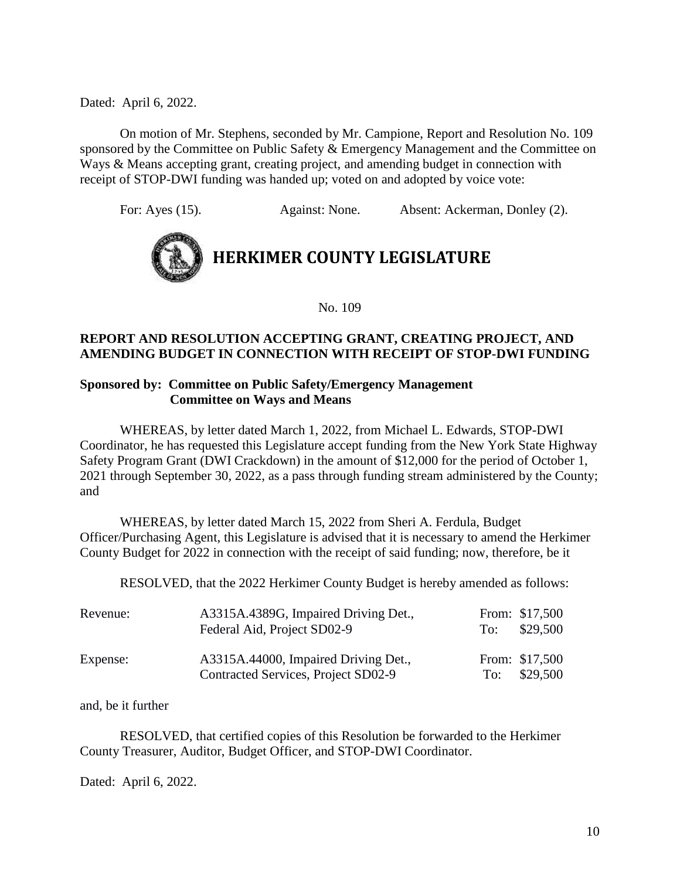On motion of Mr. Stephens, seconded by Mr. Campione, Report and Resolution No. 109 sponsored by the Committee on Public Safety & Emergency Management and the Committee on Ways & Means accepting grant, creating project, and amending budget in connection with receipt of STOP-DWI funding was handed up; voted on and adopted by voice vote:

For: Ayes (15). Against: None. Absent: Ackerman, Donley (2).



No. 109

#### **REPORT AND RESOLUTION ACCEPTING GRANT, CREATING PROJECT, AND AMENDING BUDGET IN CONNECTION WITH RECEIPT OF STOP-DWI FUNDING**

#### **Sponsored by: Committee on Public Safety/Emergency Management Committee on Ways and Means**

WHEREAS, by letter dated March 1, 2022, from Michael L. Edwards, STOP-DWI Coordinator, he has requested this Legislature accept funding from the New York State Highway Safety Program Grant (DWI Crackdown) in the amount of \$12,000 for the period of October 1, 2021 through September 30, 2022, as a pass through funding stream administered by the County; and

WHEREAS, by letter dated March 15, 2022 from Sheri A. Ferdula, Budget Officer/Purchasing Agent, this Legislature is advised that it is necessary to amend the Herkimer County Budget for 2022 in connection with the receipt of said funding; now, therefore, be it

RESOLVED, that the 2022 Herkimer County Budget is hereby amended as follows:

| Revenue: | A3315A.4389G, Impaired Driving Det.,<br>Federal Aid, Project SD02-9         | To: | From: \$17,500<br>\$29,500 |
|----------|-----------------------------------------------------------------------------|-----|----------------------------|
| Expense: | A3315A.44000, Impaired Driving Det.,<br>Contracted Services, Project SD02-9 | To: | From: \$17,500<br>\$29,500 |

and, be it further

RESOLVED, that certified copies of this Resolution be forwarded to the Herkimer County Treasurer, Auditor, Budget Officer, and STOP-DWI Coordinator.

Dated: April 6, 2022.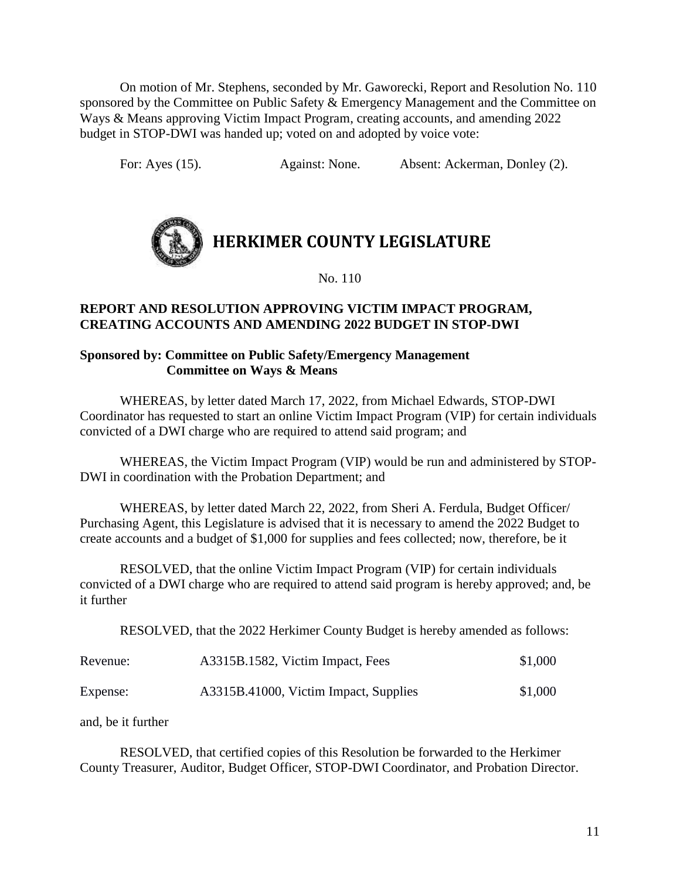On motion of Mr. Stephens, seconded by Mr. Gaworecki, Report and Resolution No. 110 sponsored by the Committee on Public Safety & Emergency Management and the Committee on Ways & Means approving Victim Impact Program, creating accounts, and amending 2022 budget in STOP-DWI was handed up; voted on and adopted by voice vote:

For: Ayes (15). Against: None. Absent: Ackerman, Donley (2).



No. 110

#### **REPORT AND RESOLUTION APPROVING VICTIM IMPACT PROGRAM, CREATING ACCOUNTS AND AMENDING 2022 BUDGET IN STOP-DWI**

#### **Sponsored by: Committee on Public Safety/Emergency Management Committee on Ways & Means**

WHEREAS, by letter dated March 17, 2022, from Michael Edwards, STOP-DWI Coordinator has requested to start an online Victim Impact Program (VIP) for certain individuals convicted of a DWI charge who are required to attend said program; and

WHEREAS, the Victim Impact Program (VIP) would be run and administered by STOP-DWI in coordination with the Probation Department; and

WHEREAS, by letter dated March 22, 2022, from Sheri A. Ferdula, Budget Officer/ Purchasing Agent, this Legislature is advised that it is necessary to amend the 2022 Budget to create accounts and a budget of \$1,000 for supplies and fees collected; now, therefore, be it

RESOLVED, that the online Victim Impact Program (VIP) for certain individuals convicted of a DWI charge who are required to attend said program is hereby approved; and, be it further

RESOLVED, that the 2022 Herkimer County Budget is hereby amended as follows:

| Revenue: | A3315B.1582, Victim Impact, Fees      | \$1,000 |
|----------|---------------------------------------|---------|
| Expense: | A3315B.41000, Victim Impact, Supplies | \$1,000 |

and, be it further

 RESOLVED, that certified copies of this Resolution be forwarded to the Herkimer County Treasurer, Auditor, Budget Officer, STOP-DWI Coordinator, and Probation Director.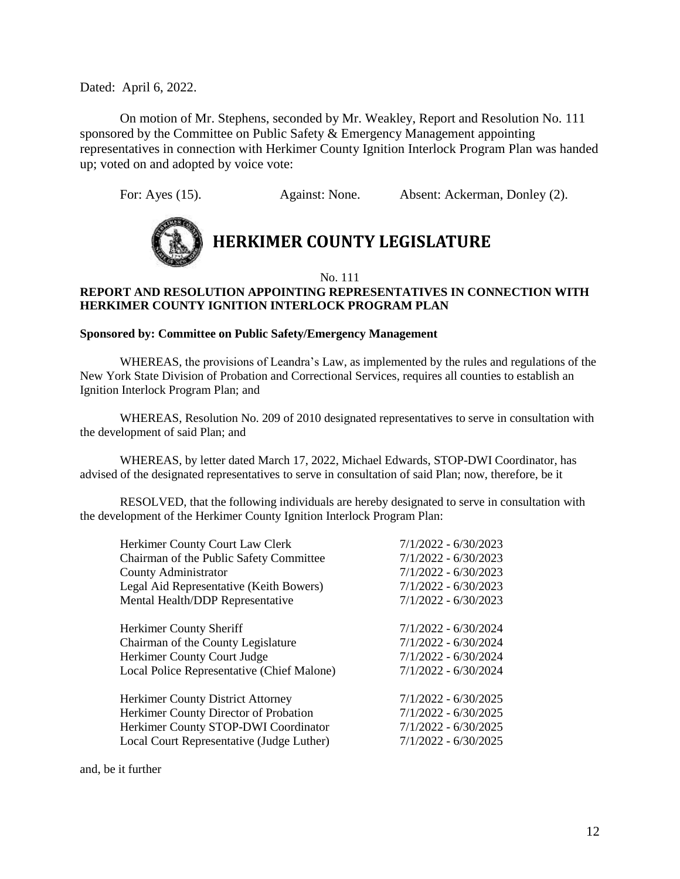On motion of Mr. Stephens, seconded by Mr. Weakley, Report and Resolution No. 111 sponsored by the Committee on Public Safety & Emergency Management appointing representatives in connection with Herkimer County Ignition Interlock Program Plan was handed up; voted on and adopted by voice vote:

For: Ayes (15). Against: None. Absent: Ackerman, Donley (2).



# **HERKIMER COUNTY LEGISLATURE**

No. 111

#### **REPORT AND RESOLUTION APPOINTING REPRESENTATIVES IN CONNECTION WITH HERKIMER COUNTY IGNITION INTERLOCK PROGRAM PLAN**

#### **Sponsored by: Committee on Public Safety/Emergency Management**

WHEREAS, the provisions of Leandra's Law, as implemented by the rules and regulations of the New York State Division of Probation and Correctional Services, requires all counties to establish an Ignition Interlock Program Plan; and

WHEREAS, Resolution No. 209 of 2010 designated representatives to serve in consultation with the development of said Plan; and

WHEREAS, by letter dated March 17, 2022, Michael Edwards, STOP-DWI Coordinator, has advised of the designated representatives to serve in consultation of said Plan; now, therefore, be it

RESOLVED, that the following individuals are hereby designated to serve in consultation with the development of the Herkimer County Ignition Interlock Program Plan:

| Herkimer County Court Law Clerk            | $7/1/2022 - 6/30/2023$ |
|--------------------------------------------|------------------------|
| Chairman of the Public Safety Committee    | $7/1/2022 - 6/30/2023$ |
| <b>County Administrator</b>                | $7/1/2022 - 6/30/2023$ |
| Legal Aid Representative (Keith Bowers)    | $7/1/2022 - 6/30/2023$ |
| Mental Health/DDP Representative           | 7/1/2022 - 6/30/2023   |
| Herkimer County Sheriff                    | 7/1/2022 - 6/30/2024   |
| Chairman of the County Legislature         | $7/1/2022 - 6/30/2024$ |
| Herkimer County Court Judge                | 7/1/2022 - 6/30/2024   |
| Local Police Representative (Chief Malone) | 7/1/2022 - 6/30/2024   |
| <b>Herkimer County District Attorney</b>   | $7/1/2022 - 6/30/2025$ |
| Herkimer County Director of Probation      | $7/1/2022 - 6/30/2025$ |
| Herkimer County STOP-DWI Coordinator       | $7/1/2022 - 6/30/2025$ |
| Local Court Representative (Judge Luther)  | $7/1/2022 - 6/30/2025$ |
|                                            |                        |

and, be it further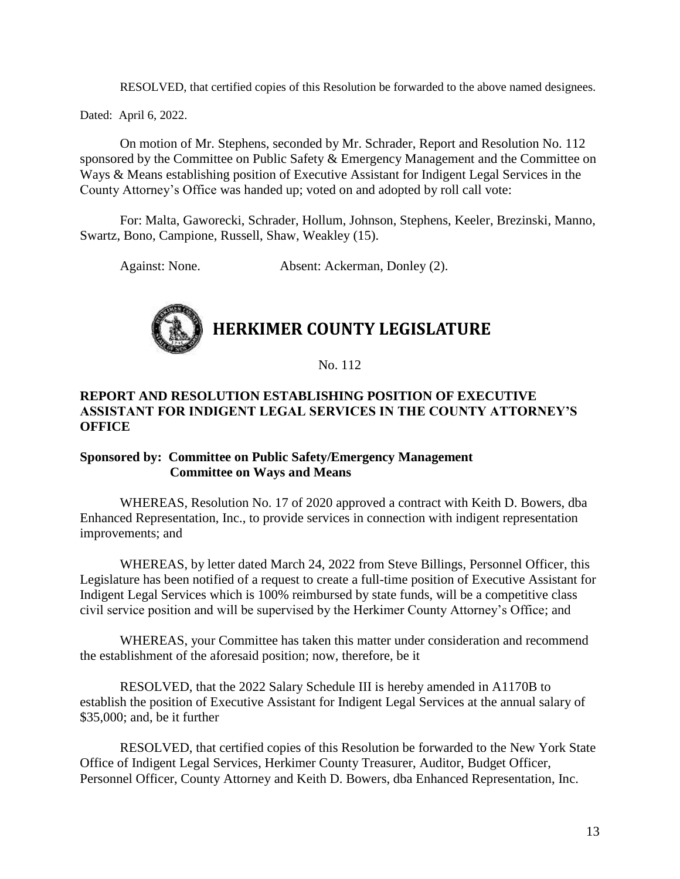RESOLVED, that certified copies of this Resolution be forwarded to the above named designees.

Dated: April 6, 2022.

On motion of Mr. Stephens, seconded by Mr. Schrader, Report and Resolution No. 112 sponsored by the Committee on Public Safety & Emergency Management and the Committee on Ways & Means establishing position of Executive Assistant for Indigent Legal Services in the County Attorney's Office was handed up; voted on and adopted by roll call vote:

For: Malta, Gaworecki, Schrader, Hollum, Johnson, Stephens, Keeler, Brezinski, Manno, Swartz, Bono, Campione, Russell, Shaw, Weakley (15).

Against: None. Absent: Ackerman, Donley (2).



No. 112

#### **REPORT AND RESOLUTION ESTABLISHING POSITION OF EXECUTIVE ASSISTANT FOR INDIGENT LEGAL SERVICES IN THE COUNTY ATTORNEY'S OFFICE**

#### **Sponsored by: Committee on Public Safety/Emergency Management Committee on Ways and Means**

WHEREAS, Resolution No. 17 of 2020 approved a contract with Keith D. Bowers, dba Enhanced Representation, Inc., to provide services in connection with indigent representation improvements; and

WHEREAS, by letter dated March 24, 2022 from Steve Billings, Personnel Officer, this Legislature has been notified of a request to create a full-time position of Executive Assistant for Indigent Legal Services which is 100% reimbursed by state funds, will be a competitive class civil service position and will be supervised by the Herkimer County Attorney's Office; and

WHEREAS, your Committee has taken this matter under consideration and recommend the establishment of the aforesaid position; now, therefore, be it

RESOLVED, that the 2022 Salary Schedule III is hereby amended in A1170B to establish the position of Executive Assistant for Indigent Legal Services at the annual salary of \$35,000; and, be it further

RESOLVED, that certified copies of this Resolution be forwarded to the New York State Office of Indigent Legal Services, Herkimer County Treasurer, Auditor, Budget Officer, Personnel Officer, County Attorney and Keith D. Bowers, dba Enhanced Representation, Inc.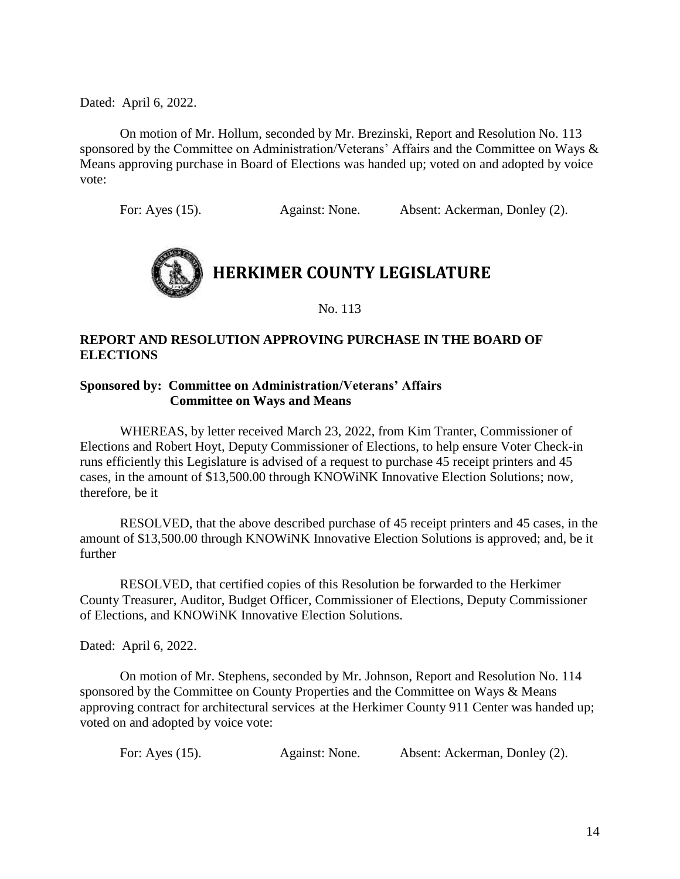On motion of Mr. Hollum, seconded by Mr. Brezinski, Report and Resolution No. 113 sponsored by the Committee on Administration/Veterans' Affairs and the Committee on Ways & Means approving purchase in Board of Elections was handed up; voted on and adopted by voice vote:

For: Ayes (15). Against: None. Absent: Ackerman, Donley (2).



No. 113

#### **REPORT AND RESOLUTION APPROVING PURCHASE IN THE BOARD OF ELECTIONS**

#### **Sponsored by: Committee on Administration/Veterans' Affairs Committee on Ways and Means**

WHEREAS, by letter received March 23, 2022, from Kim Tranter, Commissioner of Elections and Robert Hoyt, Deputy Commissioner of Elections, to help ensure Voter Check-in runs efficiently this Legislature is advised of a request to purchase 45 receipt printers and 45 cases, in the amount of \$13,500.00 through KNOWiNK Innovative Election Solutions; now, therefore, be it

RESOLVED, that the above described purchase of 45 receipt printers and 45 cases, in the amount of \$13,500.00 through KNOWiNK Innovative Election Solutions is approved; and, be it further

RESOLVED, that certified copies of this Resolution be forwarded to the Herkimer County Treasurer, Auditor, Budget Officer, Commissioner of Elections, Deputy Commissioner of Elections, and KNOWiNK Innovative Election Solutions.

Dated: April 6, 2022.

On motion of Mr. Stephens, seconded by Mr. Johnson, Report and Resolution No. 114 sponsored by the Committee on County Properties and the Committee on Ways & Means approving contract for architectural services at the Herkimer County 911 Center was handed up; voted on and adopted by voice vote:

| For: Ayes (15). | Against: None. | Absent: Ackerman, Donley (2). |  |
|-----------------|----------------|-------------------------------|--|
|-----------------|----------------|-------------------------------|--|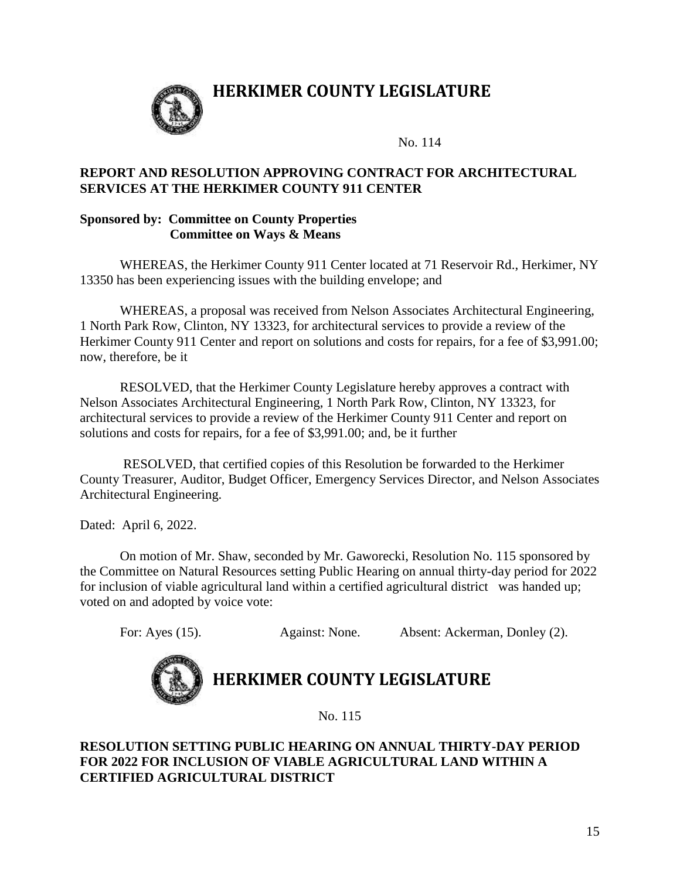

### **HERKIMER COUNTY LEGISLATURE**

No. 114

#### **REPORT AND RESOLUTION APPROVING CONTRACT FOR ARCHITECTURAL SERVICES AT THE HERKIMER COUNTY 911 CENTER**

#### **Sponsored by: Committee on County Properties Committee on Ways & Means**

WHEREAS, the Herkimer County 911 Center located at 71 Reservoir Rd., Herkimer, NY 13350 has been experiencing issues with the building envelope; and

WHEREAS, a proposal was received from Nelson Associates Architectural Engineering, 1 North Park Row, Clinton, NY 13323, for architectural services to provide a review of the Herkimer County 911 Center and report on solutions and costs for repairs, for a fee of \$3,991.00; now, therefore, be it

RESOLVED, that the Herkimer County Legislature hereby approves a contract with Nelson Associates Architectural Engineering, 1 North Park Row, Clinton, NY 13323, for architectural services to provide a review of the Herkimer County 911 Center and report on solutions and costs for repairs, for a fee of \$3,991.00; and, be it further

RESOLVED, that certified copies of this Resolution be forwarded to the Herkimer County Treasurer, Auditor, Budget Officer, Emergency Services Director, and Nelson Associates Architectural Engineering.

Dated: April 6, 2022.

On motion of Mr. Shaw, seconded by Mr. Gaworecki, Resolution No. 115 sponsored by the Committee on Natural Resources setting Public Hearing on annual thirty-day period for 2022 for inclusion of viable agricultural land within a certified agricultural district was handed up; voted on and adopted by voice vote:

For: Ayes (15). Against: None. Absent: Ackerman, Donley (2).



### **HERKIMER COUNTY LEGISLATURE**

No. 115

#### **RESOLUTION SETTING PUBLIC HEARING ON ANNUAL THIRTY-DAY PERIOD FOR 2022 FOR INCLUSION OF VIABLE AGRICULTURAL LAND WITHIN A CERTIFIED AGRICULTURAL DISTRICT**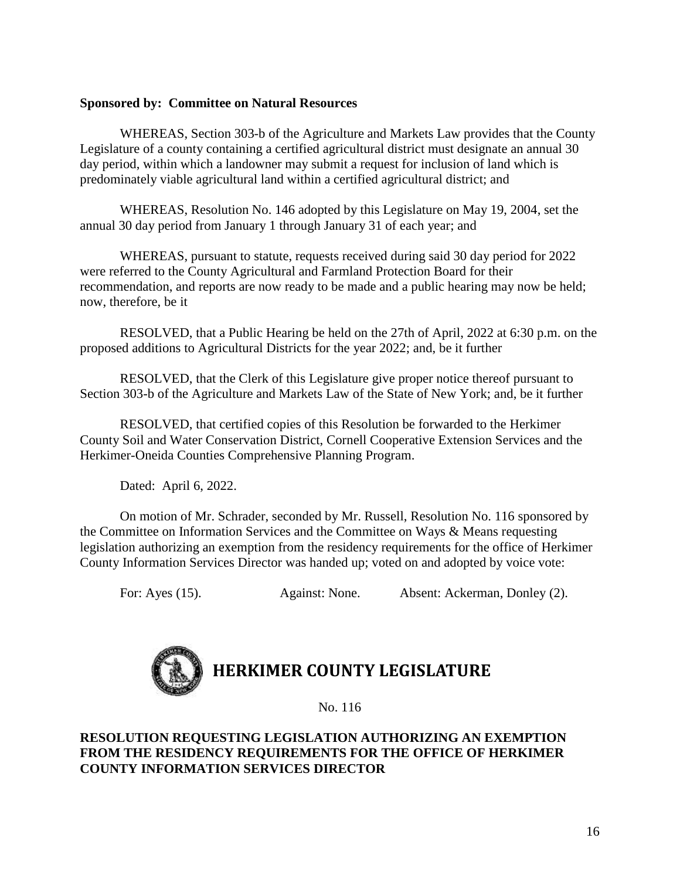#### **Sponsored by: Committee on Natural Resources**

WHEREAS, Section 303-b of the Agriculture and Markets Law provides that the County Legislature of a county containing a certified agricultural district must designate an annual 30 day period, within which a landowner may submit a request for inclusion of land which is predominately viable agricultural land within a certified agricultural district; and

WHEREAS, Resolution No. 146 adopted by this Legislature on May 19, 2004, set the annual 30 day period from January 1 through January 31 of each year; and

WHEREAS, pursuant to statute, requests received during said 30 day period for 2022 were referred to the County Agricultural and Farmland Protection Board for their recommendation, and reports are now ready to be made and a public hearing may now be held; now, therefore, be it

RESOLVED, that a Public Hearing be held on the 27th of April, 2022 at 6:30 p.m. on the proposed additions to Agricultural Districts for the year 2022; and, be it further

RESOLVED, that the Clerk of this Legislature give proper notice thereof pursuant to Section 303-b of the Agriculture and Markets Law of the State of New York; and, be it further

RESOLVED, that certified copies of this Resolution be forwarded to the Herkimer County Soil and Water Conservation District, Cornell Cooperative Extension Services and the Herkimer-Oneida Counties Comprehensive Planning Program.

Dated: April 6, 2022.

On motion of Mr. Schrader, seconded by Mr. Russell, Resolution No. 116 sponsored by the Committee on Information Services and the Committee on Ways & Means requesting legislation authorizing an exemption from the residency requirements for the office of Herkimer County Information Services Director was handed up; voted on and adopted by voice vote:

For: Ayes (15). Against: None. Absent: Ackerman, Donley (2).



No. 116

#### **RESOLUTION REQUESTING LEGISLATION AUTHORIZING AN EXEMPTION FROM THE RESIDENCY REQUIREMENTS FOR THE OFFICE OF HERKIMER COUNTY INFORMATION SERVICES DIRECTOR**